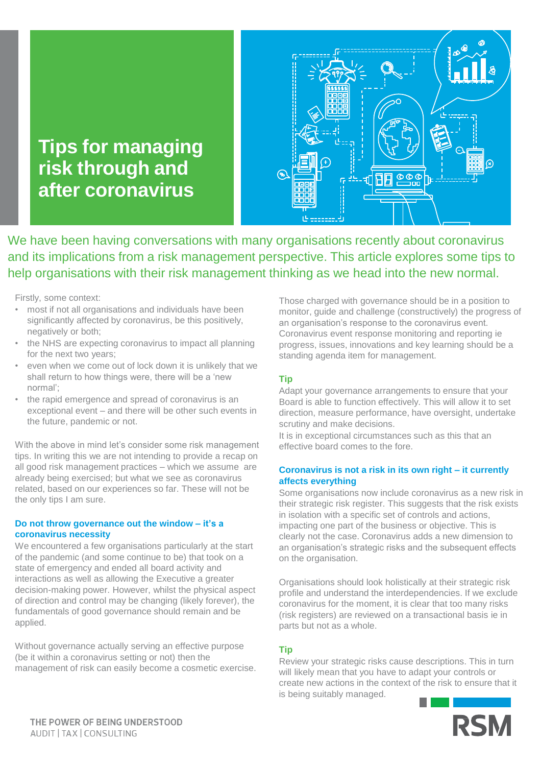# **Tips for managing risk through and after coronavirus**



We have been having conversations with many organisations recently about coronavirus and its implications from a risk management perspective. This article explores some tips to help organisations with their risk management thinking as we head into the new normal.

Firstly, some context:

- most if not all organisations and individuals have been significantly affected by coronavirus, be this positively, negatively or both;
- the NHS are expecting coronavirus to impact all planning for the next two years;
- even when we come out of lock down it is unlikely that we shall return to how things were, there will be a 'new normal';
- the rapid emergence and spread of coronavirus is an exceptional event – and there will be other such events in the future, pandemic or not.

With the above in mind let's consider some risk management tips. In writing this we are not intending to provide a recap on all good risk management practices – which we assume are already being exercised; but what we see as coronavirus related, based on our experiences so far. These will not be the only tips I am sure.

### **Do not throw governance out the window – it's a coronavirus necessity**

We encountered a few organisations particularly at the start of the pandemic (and some continue to be) that took on a state of emergency and ended all board activity and interactions as well as allowing the Executive a greater decision-making power. However, whilst the physical aspect of direction and control may be changing (likely forever), the fundamentals of good governance should remain and be applied.

Without governance actually serving an effective purpose (be it within a coronavirus setting or not) then the management of risk can easily become a cosmetic exercise. Those charged with governance should be in a position to monitor, guide and challenge (constructively) the progress of an organisation's response to the coronavirus event. Coronavirus event response monitoring and reporting ie progress, issues, innovations and key learning should be a standing agenda item for management.

# **Tip**

Adapt your governance arrangements to ensure that your Board is able to function effectively. This will allow it to set direction, measure performance, have oversight, undertake scrutiny and make decisions.

It is in exceptional circumstances such as this that an effective board comes to the fore.

## **Coronavirus is not a risk in its own right – it currently affects everything**

Some organisations now include coronavirus as a new risk in their strategic risk register. This suggests that the risk exists in isolation with a specific set of controls and actions, impacting one part of the business or objective. This is clearly not the case. Coronavirus adds a new dimension to an organisation's strategic risks and the subsequent effects on the organisation.

Organisations should look holistically at their strategic risk profile and understand the interdependencies. If we exclude coronavirus for the moment, it is clear that too many risks (risk registers) are reviewed on a transactional basis ie in parts but not as a whole.

# **Tip**

Review your strategic risks cause descriptions. This in turn will likely mean that you have to adapt your controls or create new actions in the context of the risk to ensure that it is being suitably managed.